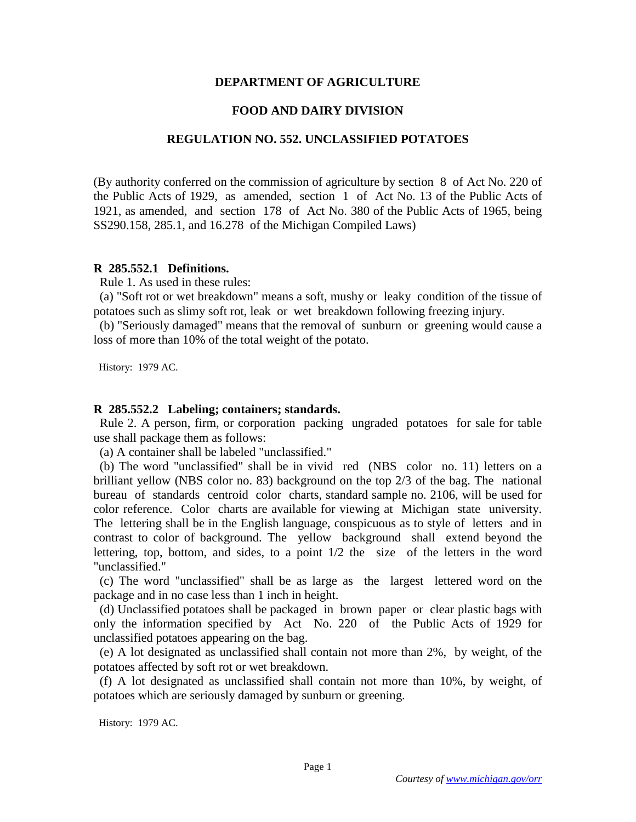## **DEPARTMENT OF AGRICULTURE**

## **FOOD AND DAIRY DIVISION**

## **REGULATION NO. 552. UNCLASSIFIED POTATOES**

(By authority conferred on the commission of agriculture by section 8 of Act No. 220 of the Public Acts of 1929, as amended, section 1 of Act No. 13 of the Public Acts of 1921, as amended, and section 178 of Act No. 380 of the Public Acts of 1965, being SS290.158, 285.1, and 16.278 of the Michigan Compiled Laws)

## **R 285.552.1 Definitions.**

Rule 1. As used in these rules:

 (a) "Soft rot or wet breakdown" means a soft, mushy or leaky condition of the tissue of potatoes such as slimy soft rot, leak or wet breakdown following freezing injury.

 (b) "Seriously damaged" means that the removal of sunburn or greening would cause a loss of more than 10% of the total weight of the potato.

History: 1979 AC.

#### **R 285.552.2 Labeling; containers; standards.**

 Rule 2. A person, firm, or corporation packing ungraded potatoes for sale for table use shall package them as follows:

(a) A container shall be labeled "unclassified."

 (b) The word "unclassified" shall be in vivid red (NBS color no. 11) letters on a brilliant yellow (NBS color no. 83) background on the top 2/3 of the bag. The national bureau of standards centroid color charts, standard sample no. 2106, will be used for color reference. Color charts are available for viewing at Michigan state university. The lettering shall be in the English language, conspicuous as to style of letters and in contrast to color of background. The yellow background shall extend beyond the lettering, top, bottom, and sides, to a point 1/2 the size of the letters in the word "unclassified."

 (c) The word "unclassified" shall be as large as the largest lettered word on the package and in no case less than 1 inch in height.

 (d) Unclassified potatoes shall be packaged in brown paper or clear plastic bags with only the information specified by Act No. 220 of the Public Acts of 1929 for unclassified potatoes appearing on the bag.

 (e) A lot designated as unclassified shall contain not more than 2%, by weight, of the potatoes affected by soft rot or wet breakdown.

 (f) A lot designated as unclassified shall contain not more than 10%, by weight, of potatoes which are seriously damaged by sunburn or greening.

History: 1979 AC.